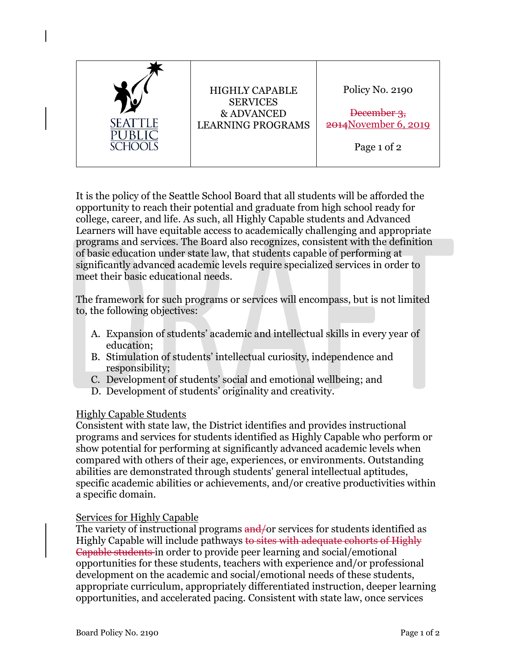

It is the policy of the Seattle School Board that all students will be afforded the opportunity to reach their potential and graduate from high school ready for college, career, and life. As such, all Highly Capable students and Advanced Learners will have equitable access to academically challenging and appropriate programs and services. The Board also recognizes, consistent with the definition of basic education under state law, that students capable of performing at significantly advanced academic levels require specialized services in order to meet their basic educational needs.

The framework for such programs or services will encompass, but is not limited to, the following objectives:

- A. Expansion of students' academic and intellectual skills in every year of education;
- B. Stimulation of students' intellectual curiosity, independence and responsibility;
- C. Development of students' social and emotional wellbeing; and
- D. Development of students' originality and creativity.

## Highly Capable Students

Consistent with state law, the District identifies and provides instructional programs and services for students identified as Highly Capable who perform or show potential for performing at significantly advanced academic levels when compared with others of their age, experiences, or environments. Outstanding abilities are demonstrated through students' general intellectual aptitudes, specific academic abilities or achievements, and/or creative productivities within a specific domain.

## Services for Highly Capable

The variety of instructional programs  $\frac{and}{or}$  services for students identified as Highly Capable will include pathways to sites with adequate cohorts of Highly Capable students in order to provide peer learning and social/emotional opportunities for these students, teachers with experience and/or professional development on the academic and social/emotional needs of these students, appropriate curriculum, appropriately differentiated instruction, deeper learning opportunities, and accelerated pacing. Consistent with state law, once services